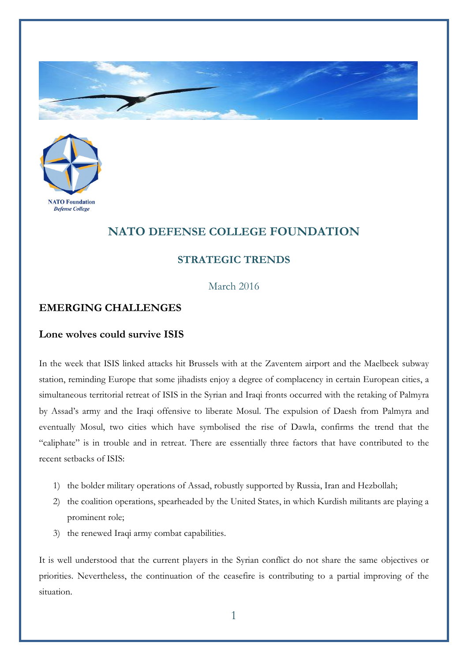



# **NATO DEFENSE COLLEGE FOUNDATION**

## **STRATEGIC TRENDS**

#### March 2016

### **EMERGING CHALLENGES**

#### **Lone wolves could survive ISIS**

In the week that ISIS linked attacks hit Brussels with at the Zaventem airport and the Maelbeek subway station, reminding Europe that some jihadists enjoy a degree of complacency in certain European cities, a simultaneous territorial retreat of ISIS in the Syrian and Iraqi fronts occurred with the retaking of Palmyra by Assad's army and the Iraqi offensive to liberate Mosul. The expulsion of Daesh from Palmyra and eventually Mosul, two cities which have symbolised the rise of Dawla, confirms the trend that the "caliphate" is in trouble and in retreat. There are essentially three factors that have contributed to the recent setbacks of ISIS:

- 1) the bolder military operations of Assad, robustly supported by Russia, Iran and Hezbollah;
- 2) the coalition operations, spearheaded by the United States, in which Kurdish militants are playing a prominent role;
- 3) the renewed Iraqi army combat capabilities.

It is well understood that the current players in the Syrian conflict do not share the same objectives or priorities. Nevertheless, the continuation of the ceasefire is contributing to a partial improving of the situation.